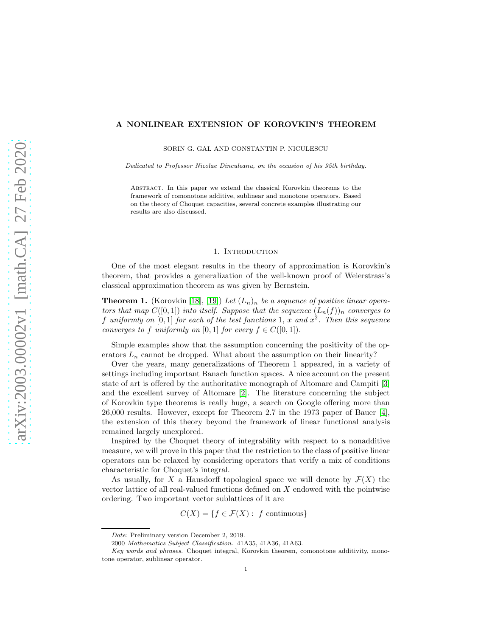## A NONLINEAR EXTENSION OF KOROVKIN'S THEOREM

SORIN G. GAL AND CONSTANTIN P. NICULESCU

Dedicated to Professor Nicolae Dinculeanu, on the occasion of his 95th birthday.

Abstract. In this paper we extend the classical Korovkin theorems to the framework of comonotone additive, sublinear and monotone operators. Based on the theory of Choquet capacities, several concrete examples illustrating our results are also discussed.

### 1. Introduction

One of the most elegant results in the theory of approximation is Korovkin's theorem, that provides a generalization of the well-known proof of Weierstrass's classical approximation theorem as was given by Bernstein.

**Theorem 1.** (Korovkin [\[18\]](#page-10-0), [\[19\]](#page-10-1)) Let  $(L_n)_n$  be a sequence of positive linear operators that map  $C([0,1])$  into itself. Suppose that the sequence  $(L_n(f))_n$  converges to f uniformly on  $[0,1]$  for each of the test functions 1, x and  $x^2$ . Then this sequence converges to f uniformly on [0, 1] for every  $f \in C([0, 1]).$ 

Simple examples show that the assumption concerning the positivity of the operators  $L_n$  cannot be dropped. What about the assumption on their linearity?

Over the years, many generalizations of Theorem 1 appeared, in a variety of settings including important Banach function spaces. A nice account on the present state of art is offered by the authoritative monograph of Altomare and Campiti [\[3\]](#page-10-2) and the excellent survey of Altomare [\[2\]](#page-10-3). The literature concerning the subject of Korovkin type theorems is really huge, a search on Google offering more than 26,000 results. However, except for Theorem 2.7 in the 1973 paper of Bauer [\[4\]](#page-10-4), the extension of this theory beyond the framework of linear functional analysis remained largely unexplored.

Inspired by the Choquet theory of integrability with respect to a nonadditive measure, we will prove in this paper that the restriction to the class of positive linear operators can be relaxed by considering operators that verify a mix of conditions characteristic for Choquet's integral.

As usually, for X a Hausdorff topological space we will denote by  $\mathcal{F}(X)$  the vector lattice of all real-valued functions defined on X endowed with the pointwise ordering. Two important vector sublattices of it are

$$
C(X) = \{ f \in \mathcal{F}(X) : f \text{ continuous} \}
$$

Date: Preliminary version December 2, 2019.

<sup>2000</sup> Mathematics Subject Classification. 41A35, 41A36, 41A63.

Key words and phrases. Choquet integral, Korovkin theorem, comonotone additivity, monotone operator, sublinear operator.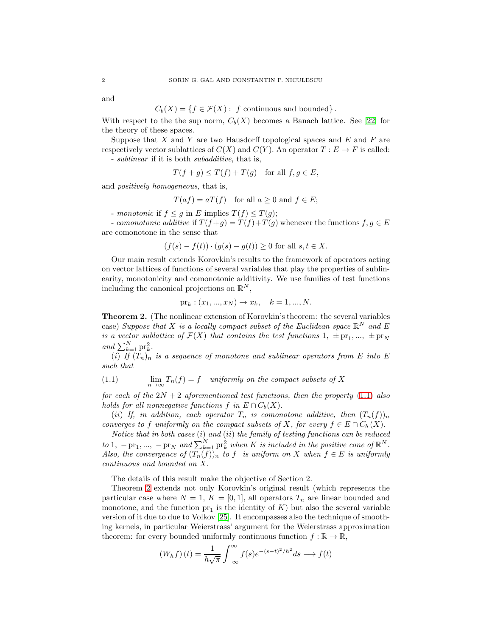and

$$
C_b(X) = \{ f \in \mathcal{F}(X) : f \text{ continuous and bounded} \}.
$$

With respect to the the sup norm,  $C_b(X)$  becomes a Banach lattice. See [\[22\]](#page-11-0) for the theory of these spaces.

Suppose that X and Y are two Hausdorff topological spaces and  $E$  and  $F$  are respectively vector sublattices of  $C(X)$  and  $C(Y)$ . An operator  $T : E \to F$  is called:

- *sublinear* if it is both *subadditive*, that is,

$$
T(f+g) \le T(f) + T(g) \quad \text{for all } f, g \in E,
$$

and positively homogeneous, that is,

$$
T(af) = aT(f) \text{ for all } a \ge 0 \text{ and } f \in E;
$$

- monotonic if  $f \leq g$  in E implies  $T(f) \leq T(g)$ ;

- comonotonic additive if  $T(f+g) = T(f)+T(g)$  whenever the functions  $f, g \in E$ are comonotone in the sense that

$$
(f(s) - f(t)) \cdot (g(s) - g(t)) \ge 0
$$
 for all  $s, t \in X$ .

Our main result extends Korovkin's results to the framework of operators acting on vector lattices of functions of several variables that play the properties of sublinearity, monotonicity and comonotonic additivity. We use families of test functions including the canonical projections on  $\mathbb{R}^N$ ,

$$
pr_k : (x_1, ..., x_N) \to x_k, \quad k = 1, ..., N.
$$

<span id="page-1-1"></span>Theorem 2. (The nonlinear extension of Korovkin's theorem: the several variables case) Suppose that X is a locally compact subset of the Euclidean space  $\mathbb{R}^N$  and E is a vector sublattice of  $\mathcal{F}(X)$  that contains the test functions  $1, \pm \text{pr}_1, ..., \pm \text{pr}_N$ and  $\sum_{k=1}^{N} \text{pr}_k^2$ .

(i) If  $(T_n)_n$  is a sequence of monotone and sublinear operators from E into E such that

<span id="page-1-0"></span>(1.1) 
$$
\lim_{n \to \infty} T_n(f) = f \quad uniformly \text{ on the compact subsets of } X
$$

for each of the  $2N + 2$  aforementioned test functions, then the property [\(1.1\)](#page-1-0) also holds for all nonnegative functions f in  $E \cap C_b(X)$ .

(ii) If, in addition, each operator  $T_n$  is comonotone additive, then  $(T_n(f))_n$ converges to f uniformly on the compact subsets of X, for every  $f \in E \cap C_b(X)$ .

Notice that in both cases  $(i)$  and  $(ii)$  the family of testing functions can be reduced to 1,  $-\text{pr}_1, ..., -\text{pr}_N$  and  $\sum_{k=1}^N \text{pr}_k^2$  when K is included in the positive cone of  $\mathbb{R}^N$ . Also, the convergence of  $(T_n(f))_n$  to f is uniform on X when  $f \in E$  is uniformly continuous and bounded on X.

The details of this result make the objective of Section 2.

Theorem [2](#page-1-1) extends not only Korovkin's original result (which represents the particular case where  $N = 1, K = [0, 1]$ , all operators  $T_n$  are linear bounded and monotone, and the function  $pr_1$  is the identity of K) but also the several variable version of it due to due to Volkov [\[25\]](#page-11-1). It encompasses also the technique of smoothing kernels, in particular Weierstrass' argument for the Weierstrass approximation theorem: for every bounded uniformly continuous function  $f : \mathbb{R} \to \mathbb{R}$ ,

$$
(W_h f)(t) = \frac{1}{h\sqrt{\pi}} \int_{-\infty}^{\infty} f(s)e^{-(s-t)^2/h^2} ds \longrightarrow f(t)
$$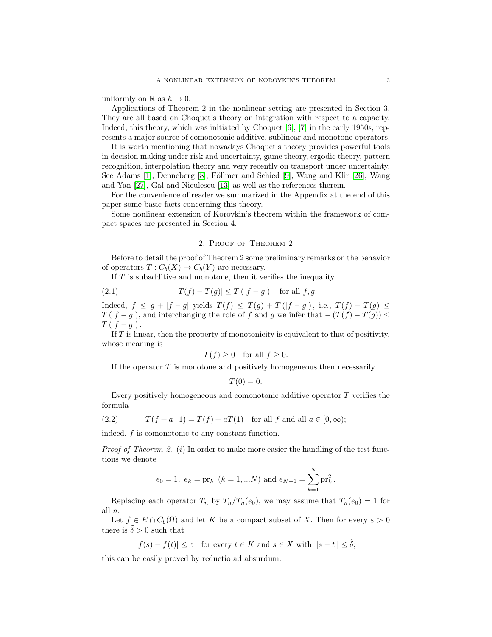uniformly on R as  $h \to 0$ .

Applications of Theorem 2 in the nonlinear setting are presented in Section 3. They are all based on Choquet's theory on integration with respect to a capacity. Indeed, this theory, which was initiated by Choquet [\[6\]](#page-10-5), [\[7\]](#page-10-6) in the early 1950s, represents a major source of comonotonic additive, sublinear and monotone operators.

It is worth mentioning that nowadays Choquet's theory provides powerful tools in decision making under risk and uncertainty, game theory, ergodic theory, pattern recognition, interpolation theory and very recently on transport under uncertainty. See Adams [\[1\]](#page-10-7), Denneberg [\[8\]](#page-10-8), Föllmer and Schied [\[9\]](#page-10-9), Wang and Klir [\[26\]](#page-11-2), Wang and Yan [\[27\]](#page-11-3), Gal and Niculescu [\[13\]](#page-10-10) as well as the references therein.

For the convenience of reader we summarized in the Appendix at the end of this paper some basic facts concerning this theory.

Some nonlinear extension of Korovkin's theorem within the framework of compact spaces are presented in Section 4.

# <span id="page-2-0"></span>2. Proof of Theorem 2

Before to detail the proof of Theorem 2 some preliminary remarks on the behavior of operators  $T: C_b(X) \to C_b(Y)$  are necessary.

If  $T$  is subadditive and monotone, then it verifies the inequality

$$
(2.1) \t\t |T(f) - T(g)| \le T(|f - g|) \tfor all f, g.
$$

Indeed,  $f \leq g + |f - g|$  yields  $T(f) \leq T(g) + T(|f - g|)$ , i.e.,  $T(f) - T(g) \leq T(g)$  $T(|f-g|)$ , and interchanging the role of f and g we infer that  $-(T(f) - T(g)) \le$  $T(|f-g|)$ .

If  $T$  is linear, then the property of monotonicity is equivalent to that of positivity, whose meaning is

$$
T(f) \ge 0 \quad \text{for all } f \ge 0.
$$

If the operator  $T$  is monotone and positively homogeneous then necessarily

$$
T(0) = 0.
$$

Every positively homogeneous and comonotonic additive operator  $T$  verifies the formula

(2.2) 
$$
T(f + a \cdot 1) = T(f) + aT(1)
$$
 for all f and all  $a \in [0, \infty)$ ;

indeed,  $f$  is comonotonic to any constant function.

*Proof of Theorem 2. (i)* In order to make more easier the handling of the test functions we denote

$$
e_0 = 1
$$
,  $e_k = \text{pr}_k$   $(k = 1, ...N)$  and  $e_{N+1} = \sum_{k=1}^{N} \text{pr}_k^2$ .

Replacing each operator  $T_n$  by  $T_n/T_n(e_0)$ , we may assume that  $T_n(e_0) = 1$  for all n.

Let  $f \in E \cap C_b(\Omega)$  and let K be a compact subset of X. Then for every  $\varepsilon > 0$ there is  $\tilde{\delta} > 0$  such that

$$
|f(s) - f(t)| \le \varepsilon \quad \text{for every } t \in K \text{ and } s \in X \text{ with } ||s - t|| \le \tilde{\delta};
$$

this can be easily proved by reductio ad absurdum.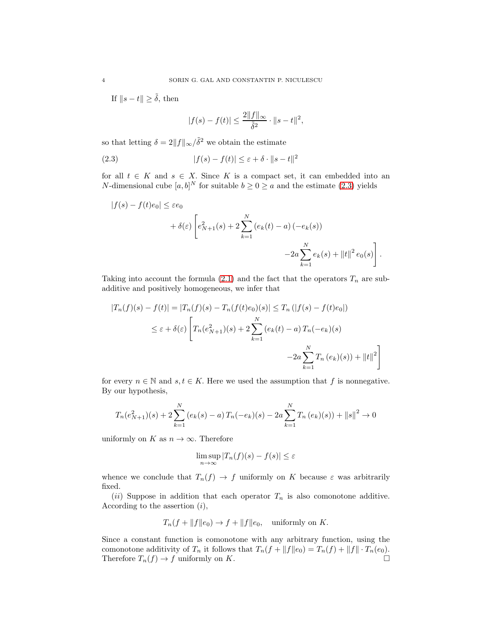If  $||s - t|| \geq \tilde{\delta}$ , then

<span id="page-3-0"></span>
$$
|f(s) - f(t)| \le \frac{2||f||_{\infty}}{\tilde{\delta}^2} \cdot ||s - t||^2
$$
,

so that letting  $\delta = 2||f||_{\infty}/\tilde{\delta}^2$  we obtain the estimate

(2.3) 
$$
|f(s) - f(t)| \leq \varepsilon + \delta \cdot ||s - t||^2
$$

for all  $t \in K$  and  $s \in X$ . Since K is a compact set, it can embedded into an *N*-dimensional cube  $[a, b]^N$  for suitable  $b \ge 0 \ge a$  and the estimate [\(2.3\)](#page-3-0) yields

$$
|f(s) - f(t)e_0| \le \varepsilon e_0
$$
  
+  $\delta(\varepsilon) \left[ e_{N+1}^2(s) + 2 \sum_{k=1}^N (e_k(t) - a) (-e_k(s)) -2a \sum_{k=1}^N e_k(s) + ||t||^2 e_0(s) \right].$ 

Taking into account the formula [\(2.1\)](#page-2-0) and the fact that the operators  $T_n$  are subadditive and positively homogeneous, we infer that

$$
|T_n(f)(s) - f(t)| = |T_n(f)(s) - T_n(f(t)e_0)(s)| \le T_n(|f(s) - f(t)e_0|)
$$
  

$$
\le \varepsilon + \delta(\varepsilon) \left[ T_n(e_{N+1}^2)(s) + 2 \sum_{k=1}^N (e_k(t) - a) T_n(-e_k)(s) -2a \sum_{k=1}^N T_n(e_k)(s)) + ||t||^2 \right]
$$

for every  $n \in \mathbb{N}$  and  $s, t \in K$ . Here we used the assumption that f is nonnegative. By our hypothesis,

$$
T_n(e_{N+1}^2)(s) + 2\sum_{k=1}^N (e_k(s) - a) T_n(-e_k)(s) - 2a \sum_{k=1}^N T_n(e_k)(s) + ||s||^2 \to 0
$$

uniformly on K as  $n \to \infty$ . Therefore

$$
\limsup_{n \to \infty} |T_n(f)(s) - f(s)| \le \varepsilon
$$

whence we conclude that  $T_n(f) \to f$  uniformly on K because  $\varepsilon$  was arbitrarily fixed.

(ii) Suppose in addition that each operator  $T_n$  is also comonotone additive. According to the assertion  $(i)$ ,

$$
T_n(f + \|f\|e_0) \to f + \|f\|e_0, \text{ uniformly on } K.
$$

Since a constant function is comonotone with any arbitrary function, using the comonotone additivity of  $T_n$  it follows that  $T_n(f + ||f||e_0) = T_n(f) + ||f|| \cdot T_n(e_0)$ .<br>Therefore  $T_n(f) \to f$  uniformly on K. Therefore  $T_n(f) \to f$  uniformly on K.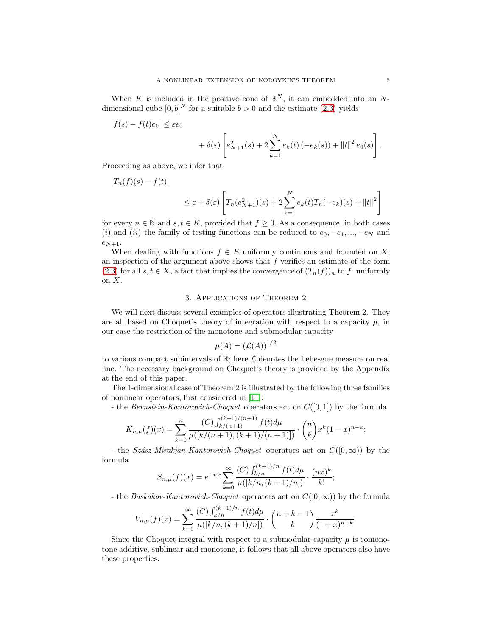When K is included in the positive cone of  $\mathbb{R}^N$ , it can embedded into an Ndimensional cube  $[0, b]^N$  for a suitable  $b > 0$  and the estimate [\(2.3\)](#page-3-0) yields

$$
|f(s) - f(t)e_0| \le \varepsilon e_0
$$

$$
+\delta(\varepsilon)\left[e_{N+1}^2(s)+2\sum_{k=1}^N e_k(t)\left(-e_k(s)\right)+\left\|t\right\|^2e_0(s)\right].
$$

Proceeding as above, we infer that

$$
\begin{aligned} |T_n(f)(s)-f(t)|\\ \leq \varepsilon + \delta(\varepsilon)\left[T_n(e_{N+1}^2)(s)+2\sum_{k=1}^N e_k(t)T_n(-e_k)(s)+\|t\| \right]. \end{aligned}
$$

for every  $n \in \mathbb{N}$  and  $s, t \in K$ , provided that  $f \geq 0$ . As a consequence, in both cases (i) and (ii) the family of testing functions can be reduced to  $e_0, -e_1, ..., -e_N$  and  $e_{N+1}.$ 

When dealing with functions  $f \in E$  uniformly continuous and bounded on X, an inspection of the argument above shows that  $f$  verifies an estimate of the form [\(2.3\)](#page-3-0) for all  $s, t \in X$ , a fact that implies the convergence of  $(T_n(f))_n$  to f uniformly on  $X$ .

### 3. Applications of Theorem 2

We will next discuss several examples of operators illustrating Theorem 2. They are all based on Choquet's theory of integration with respect to a capacity  $\mu$ , in our case the restriction of the monotone and submodular capacity

$$
\mu(A) = \left(\mathcal{L}(A)\right)^{1/2}
$$

to various compact subintervals of  $\mathbb{R}$ ; here  $\mathcal L$  denotes the Lebesgue measure on real line. The necessary background on Choquet's theory is provided by the Appendix at the end of this paper.

The 1-dimensional case of Theorem 2 is illustrated by the following three families of nonlinear operators, first considered in [\[11\]](#page-10-11):

- the Bernstein-Kantorovich-Choquet operators act on  $C([0, 1])$  by the formula

$$
K_{n,\mu}(f)(x) = \sum_{k=0}^{n} \frac{(C) \int_{k/(n+1)}^{(k+1)/(n+1)} f(t) d\mu}{\mu([k/(n+1), (k+1)/(n+1)])} \cdot {n \choose k} x^{k} (1-x)^{n-k};
$$

- the Szász-Mirakjan-Kantorovich-Choquet operators act on  $C([0,\infty))$  by the formula

$$
S_{n,\mu}(f)(x) = e^{-nx} \sum_{k=0}^{\infty} \frac{(C) \int_{k/n}^{(k+1)/n} f(t) d\mu}{\mu([k/n, (k+1)/n])} \cdot \frac{(nx)^k}{k!};
$$

- the Baskakov-Kantorovich-Choquet operators act on  $C([0,\infty))$  by the formula

$$
V_{n,\mu}(f)(x) = \sum_{k=0}^{\infty} \frac{(C) \int_{k/n}^{(k+1)/n} f(t) d\mu}{\mu([k/n, (k+1)/n])} \cdot \binom{n+k-1}{k} \frac{x^k}{(1+x)^{n+k}}.
$$

Since the Choquet integral with respect to a submodular capacity  $\mu$  is comonotone additive, sublinear and monotone, it follows that all above operators also have these properties.

 $\begin{matrix} 2 \end{matrix}$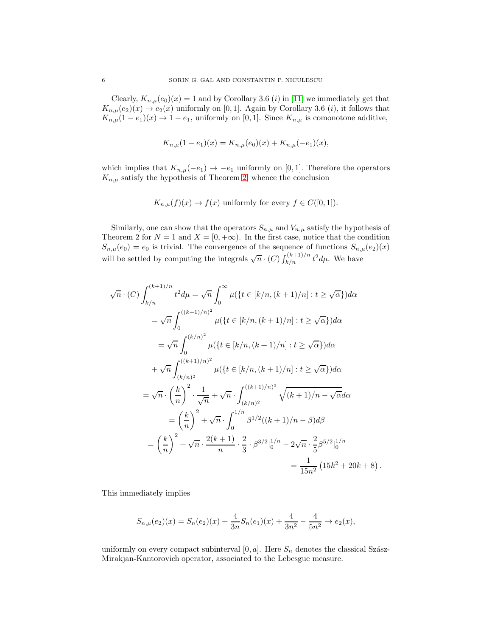Clearly,  $K_{n,\mu}(e_0)(x) = 1$  and by Corollary 3.6 (i) in [\[11\]](#page-10-11) we immediately get that  $K_{n,\mu}(e_2)(x) \to e_2(x)$  uniformly on [0, 1]. Again by Corollary 3.6 (*i*), it follows that  $K_{n,\mu}(1-e_1)(x) \to 1-e_1$ , uniformly on [0, 1]. Since  $K_{n,\mu}$  is comonotone additive,

$$
K_{n,\mu}(1-e_1)(x) = K_{n,\mu}(e_0)(x) + K_{n,\mu}(-e_1)(x),
$$

which implies that  $K_{n,\mu}(-e_1) \rightarrow -e_1$  uniformly on [0, 1]. Therefore the operators  $K_{n,\mu}$  satisfy the hypothesis of Theorem [2,](#page-1-1) whence the conclusion

$$
K_{n,\mu}(f)(x) \to f(x)
$$
 uniformly for every  $f \in C([0,1])$ .

Similarly, one can show that the operators  $S_{n,\mu}$  and  $V_{n,\mu}$  satisfy the hypothesis of Theorem 2 for  $N = 1$  and  $X = [0, +\infty)$ . In the first case, notice that the condition  $S_{n,\mu}(e_0) = e_0$  is trivial. The convergence of the sequence of functions  $S_{n,\mu}(e_2)(x)$ will be settled by computing the integrals  $\sqrt{n} \cdot (C) \int_{k/n}^{(k+1)/n} t^2 d\mu$ . We have

$$
\sqrt{n} \cdot (C) \int_{k/n}^{(k+1)/n} t^2 d\mu = \sqrt{n} \int_0^\infty \mu({t \in [k/n, (k+1)/n] : t \ge \sqrt{\alpha}}) d\alpha
$$
  
\n
$$
= \sqrt{n} \int_0^{((k+1)/n)^2} \mu({t \in [k/n, (k+1)/n] : t \ge \sqrt{\alpha}}) d\alpha
$$
  
\n
$$
= \sqrt{n} \int_0^{(k/n)^2} \mu({t \in [k/n, (k+1)/n] : t \ge \sqrt{\alpha}}) d\alpha
$$
  
\n
$$
+ \sqrt{n} \int_{(k/n)^2}^{((k+1)/n)^2} \mu({t \in [k/n, (k+1)/n] : t \ge \sqrt{\alpha}}) d\alpha
$$
  
\n
$$
= \sqrt{n} \cdot \left(\frac{k}{n}\right)^2 \cdot \frac{1}{\sqrt{n}} + \sqrt{n} \cdot \int_{(k/n)^2}^{((k+1)/n)^2} \sqrt{(k+1)/n} - \sqrt{\alpha} d\alpha
$$
  
\n
$$
= \left(\frac{k}{n}\right)^2 + \sqrt{n} \cdot \int_0^{1/n} \beta^{1/2}((k+1)/n - \beta) d\beta
$$
  
\n
$$
= \left(\frac{k}{n}\right)^2 + \sqrt{n} \cdot \frac{2(k+1)}{n} \cdot \frac{2}{3} \cdot \beta^{3/2} \Big|_0^{1/n} - 2\sqrt{n} \cdot \frac{2}{5} \beta^{5/2} \Big|_0^{1/n}
$$
  
\n
$$
= \frac{1}{15n^2} (15k^2 + 20k + 8)
$$

This immediately implies

$$
S_{n,\mu}(e_2)(x) = S_n(e_2)(x) + \frac{4}{3n}S_n(e_1)(x) + \frac{4}{3n^2} - \frac{4}{5n^2} \to e_2(x),
$$

.

uniformly on every compact subinterval  $[0, a]$ . Here  $S_n$  denotes the classical Szász-Mirakjan-Kantorovich operator, associated to the Lebesgue measure.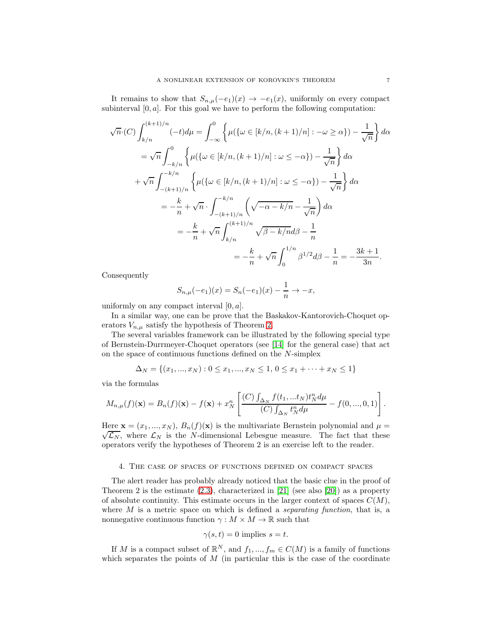It remains to show that  $S_{n,\mu}(-e_1)(x) \to -e_1(x)$ , uniformly on every compact subinterval  $[0, a]$ . For this goal we have to perform the following computation:

$$
\sqrt{n} \cdot (C) \int_{k/n}^{(k+1)/n} (-t) d\mu = \int_{-\infty}^{0} \left\{ \mu(\{\omega \in [k/n, (k+1)/n] : -\omega \ge \alpha\}) - \frac{1}{\sqrt{n}} \right\} d\alpha
$$
  
\n
$$
= \sqrt{n} \int_{-k/n}^{0} \left\{ \mu(\{\omega \in [k/n, (k+1)/n] : \omega \le -\alpha\}) - \frac{1}{\sqrt{n}} \right\} d\alpha
$$
  
\n
$$
+ \sqrt{n} \int_{-(k+1)/n}^{-k/n} \left\{ \mu(\{\omega \in [k/n, (k+1)/n] : \omega \le -\alpha\}) - \frac{1}{\sqrt{n}} \right\} d\alpha
$$
  
\n
$$
= -\frac{k}{n} + \sqrt{n} \cdot \int_{-(k+1)/n}^{-k/n} \left( \sqrt{-\alpha - k/n} - \frac{1}{\sqrt{n}} \right) d\alpha
$$
  
\n
$$
= -\frac{k}{n} + \sqrt{n} \int_{k/n}^{(k+1)/n} \sqrt{\beta - k/n} d\beta - \frac{1}{n}
$$
  
\n
$$
= -\frac{k}{n} + \sqrt{n} \int_{0}^{1/n} \beta^{1/2} d\beta - \frac{1}{n} = -\frac{3k+1}{3n}.
$$

Consequently

$$
S_{n,\mu}(-e_1)(x) = S_n(-e_1)(x) - \frac{1}{n} \to -x,
$$

uniformly on any compact interval  $[0, a]$ .

In a similar way, one can be prove that the Baskakov-Kantorovich-Choquet operators  $V_{n,\mu}$  satisfy the hypothesis of Theorem [2.](#page-1-1)

The several variables framework can be illustrated by the following special type of Bernstein-Durrmeyer-Choquet operators (see [\[14\]](#page-10-12) for the general case) that act on the space of continuous functions defined on the N-simplex

$$
\Delta_N = \{(x_1, ..., x_N) : 0 \le x_1, ..., x_N \le 1, 0 \le x_1 + ... + x_N \le 1\}
$$

via the formulas

$$
M_{n,\mu}(f)(\mathbf{x}) = B_n(f)(\mathbf{x}) - f(\mathbf{x}) + x_N^n \left[ \frac{(C) \int_{\Delta_N} f(t_1, ... t_N) t_N^n d\mu}{(C) \int_{\Delta_N} t_N^n d\mu} - f(0, ..., 0, 1) \right].
$$

Here  $\mathbf{x} = (x_1, ..., x_N)$ ,  $B_n(f)(\mathbf{x})$  is the multivariate Bernstein polynomial and  $\mu =$  $\sqrt{\mathcal{L}_N}$ , where  $\mathcal{L}_N$  is the N-dimensional Lebesgue measure. The fact that these operators verify the hypotheses of Theorem 2 is an exercise left to the reader.

#### 4. The case of spaces of functions defined on compact spaces

The alert reader has probably already noticed that the basic clue in the proof of Theorem 2 is the estimate  $(2.3)$ , characterized in  $[21]$  (see also  $[20]$ ) as a property of absolute continuity. This estimate occurs in the larger context of spaces  $C(M)$ , where  $M$  is a metric space on which is defined a *separating function*, that is, a nonnegative continuous function  $\gamma : M \times M \to \mathbb{R}$  such that

$$
\gamma(s,t) = 0 \text{ implies } s = t.
$$

If M is a compact subset of  $\mathbb{R}^N$ , and  $f_1, ..., f_m \in C(M)$  is a family of functions which separates the points of  $M$  (in particular this is the case of the coordinate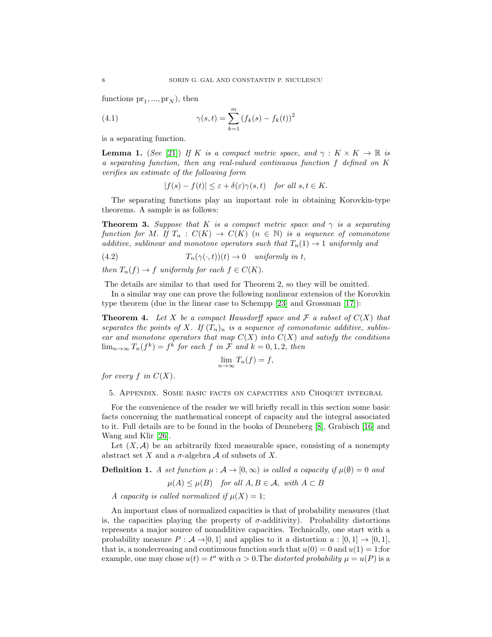functions  $pr_1, ..., pr_N$ ), then

(4.1) 
$$
\gamma(s,t) = \sum_{k=1}^{m} (f_k(s) - f_k(t))^2
$$

is a separating function.

**Lemma 1.** (See [\[21\]](#page-10-13)) If K is a compact metric space, and  $\gamma : K \times K \to \mathbb{R}$  is a separating function, then any real-valued continuous function f defined on K verifies an estimate of the following form

$$
|f(s) - f(t)| \le \varepsilon + \delta(\varepsilon)\gamma(s, t) \quad \text{for all } s, t \in K.
$$

The separating functions play an important role in obtaining Korovkin-type theorems. A sample is as follows:

**Theorem 3.** Suppose that K is a compact metric space and  $\gamma$  is a separating function for M. If  $T_n : C(K) \to C(K)$   $(n \in \mathbb{N})$  is a sequence of comonotone additive, sublinear and monotone operators such that  $T_n(1) \rightarrow 1$  uniformly and

(4.2) 
$$
T_n(\gamma(\cdot,t))(t) \to 0 \quad uniformly \ in \ t,
$$

then  $T_n(f) \to f$  uniformly for each  $f \in C(K)$ .

The details are similar to that used for Theorem 2, so they will be omitted.

In a similar way one can prove the following nonlinear extension of the Korovkin type theorem (due in the linear case to Schempp [\[23\]](#page-11-4) and Grossman [\[17\]](#page-10-15)):

**Theorem 4.** Let X be a compact Hausdorff space and F a subset of  $C(X)$  that separates the points of X. If  $(T_n)_n$  is a sequence of comonotonic additive, sublinear and monotone operators that map  $C(X)$  into  $C(X)$  and satisfy the conditions  $\lim_{n\to\infty}T_n(f^k)=f^k$  for each f in F and  $k=0,1,2$ , then

$$
\lim_{n \to \infty} T_n(f) = f,
$$

for every  $f$  in  $C(X)$ .

5. Appendix. Some basic facts on capacities and Choquet integral

For the convenience of the reader we will briefly recall in this section some basic facts concerning the mathematical concept of capacity and the integral associated to it. Full details are to be found in the books of Denneberg [\[8\]](#page-10-8), Grabisch [\[16\]](#page-10-16) and Wang and Klir [\[26\]](#page-11-2).

Let  $(X, \mathcal{A})$  be an arbitrarily fixed measurable space, consisting of a nonempty abstract set X and a  $\sigma$ -algebra A of subsets of X.

**Definition 1.** A set function  $\mu : \mathcal{A} \to [0, \infty)$  is called a capacity if  $\mu(\emptyset) = 0$  and

 $\mu(A) \leq \mu(B)$  for all  $A, B \in \mathcal{A}$ , with  $A \subset B$ 

A capacity is called normalized if  $\mu(X) = 1$ ;

An important class of normalized capacities is that of probability measures (that is, the capacities playing the property of  $\sigma$ -additivity). Probability distortions represents a major source of nonadditive capacities. Technically, one start with a probability measure  $P : \mathcal{A} \rightarrow [0,1]$  and applies to it a distortion  $u : [0,1] \rightarrow [0,1]$ , that is, a nondecreasing and continuous function such that  $u(0) = 0$  and  $u(1) = 1$ ; for example, one may chose  $u(t) = t^a$  with  $\alpha > 0$ . The *distorted probability*  $\mu = u(P)$  is a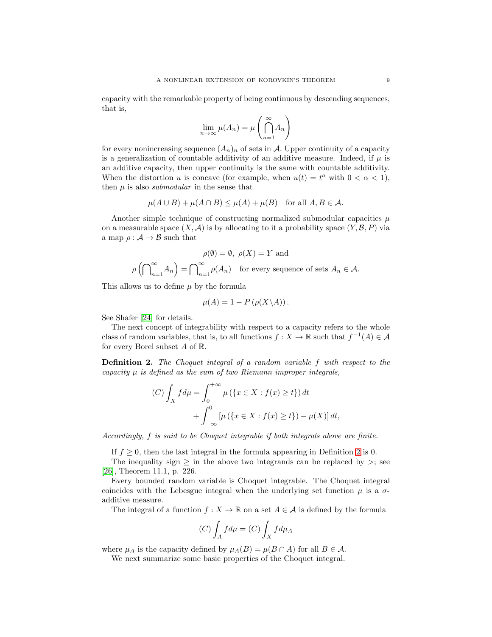capacity with the remarkable property of being continuous by descending sequences, that is,

$$
\lim_{n \to \infty} \mu(A_n) = \mu\left(\bigcap_{n=1}^{\infty} A_n\right)
$$

for every nonincreasing sequence  $(A_n)_n$  of sets in A. Upper continuity of a capacity is a generalization of countable additivity of an additive measure. Indeed, if  $\mu$  is an additive capacity, then upper continuity is the same with countable additivity. When the distortion u is concave (for example, when  $u(t) = t^a$  with  $0 < \alpha < 1$ ), then  $\mu$  is also *submodular* in the sense that

$$
\mu(A \cup B) + \mu(A \cap B) \le \mu(A) + \mu(B) \quad \text{for all } A, B \in \mathcal{A}.
$$

Another simple technique of constructing normalized submodular capacities  $\mu$ on a measurable space  $(X, \mathcal{A})$  is by allocating to it a probability space  $(Y, \mathcal{B}, P)$  via a map  $\rho : \mathcal{A} \to \mathcal{B}$  such that

$$
\rho(\emptyset) = \emptyset, \ \rho(X) = Y \text{ and}
$$

$$
\rho\left(\bigcap_{n=1}^{\infty} A_n\right) = \bigcap_{n=1}^{\infty} \rho(A_n) \quad \text{for every sequence of sets } A_n \in \mathcal{A}.
$$

This allows us to define  $\mu$  by the formula

$$
\mu(A) = 1 - P(\rho(X \backslash A)).
$$

See Shafer [\[24\]](#page-11-5) for details.

The next concept of integrability with respect to a capacity refers to the whole class of random variables, that is, to all functions  $f: X \to \mathbb{R}$  such that  $f^{-1}(A) \in \mathcal{A}$ for every Borel subset  $A$  of  $\mathbb{R}$ .

<span id="page-8-0"></span>Definition 2. The Choquet integral of a random variable f with respect to the capacity  $\mu$  is defined as the sum of two Riemann improper integrals,

$$
(C)\int_X f d\mu = \int_0^{+\infty} \mu (\{x \in X : f(x) \ge t\}) dt + \int_{-\infty}^0 [\mu (\{x \in X : f(x) \ge t\}) - \mu(X)] dt,
$$

Accordingly, f is said to be Choquet integrable if both integrals above are finite.

If  $f \geq 0$ , then the last integral in the formula appearing in Definition [2](#page-8-0) is 0.

The inequality sign  $\geq$  in the above two integrands can be replaced by  $\geq$ ; see [\[26\]](#page-11-2), Theorem 11.1, p. 226.

Every bounded random variable is Choquet integrable. The Choquet integral coincides with the Lebesgue integral when the underlying set function  $\mu$  is a  $\sigma$ additive measure.

The integral of a function  $f: X \to \mathbb{R}$  on a set  $A \in \mathcal{A}$  is defined by the formula

$$
(C)\int_A f d\mu = (C)\int_X f d\mu_A
$$

where  $\mu_A$  is the capacity defined by  $\mu_A(B) = \mu(B \cap A)$  for all  $B \in \mathcal{A}$ .

We next summarize some basic properties of the Choquet integral.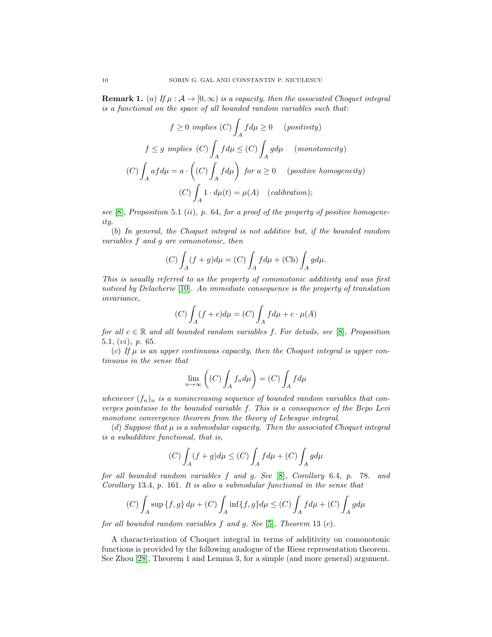<span id="page-9-0"></span>**Remark 1.** (a) If  $\mu : \mathcal{A} \to [0, \infty)$  is a capacity, then the associated Choquet integral is a functional on the space of all bounded random variables such that:

$$
f \ge 0 \implies (C) \int_A f d\mu \ge 0 \qquad (positivity)
$$
  

$$
f \le g \implies (C) \int_A f d\mu \le (C) \int_A g d\mu \qquad (monotonicity)
$$
  

$$
(C) \int_A a f d\mu = a \cdot \left( (C) \int_A f d\mu \right) \text{ for } a \ge 0 \qquad (positive \text{ homogeneity})
$$
  

$$
(C) \int_A 1 \cdot d\mu(t) = \mu(A) \quad (calibration);
$$

see  $[8]$ , Proposition 5.1 (ii), p. 64, for a proof of the property of positive homogeneity.

(b) In general, the Choquet integral is not additive but, if the bounded random variables f and g are comonotonic, then

$$
(C)\int_A (f+g)d\mu = (C)\int_A f d\mu + (\text{Ch})\int_A g d\mu.
$$

This is usually referred to as the property of comonotonic additivity and was first noticed by Delacherie [\[10\]](#page-10-17). An immediate consequence is the property of translation invariance,

$$
(C)\int_A (f+c)d\mu = (C)\int_A fd\mu + c \cdot \mu(A)
$$

for all  $c \in \mathbb{R}$  and all bounded random variables f. For details, see [\[8\]](#page-10-8), Proposition 5.1,  $(vi)$ , p. 65.

(c) If  $\mu$  is an upper continuous capacity, then the Choquet integral is upper continuous in the sense that

$$
\lim_{n \to \infty} \left( (C) \int_A f_n d\mu \right) = (C) \int_A f d\mu
$$

whenever  $(f_n)_n$  is a nonincreasing sequence of bounded random variables that converges pointwise to the bounded variable f. This is a consequence of the Bepo Levi monotone convergence theorem from the theory of Lebesgue integral.

(d) Suppose that  $\mu$  is a submodular capacity. Then the associated Choquet integral is a subadditive functional, that is,

$$
(C)\int_A (f+g)d\mu \le (C)\int_A fd\mu + (C)\int_A gd\mu
$$

for all bounded random variables f and g. See [\[8\]](#page-10-8), Corollary 6.4, p. 78. and Corollary 13.4, p. 161. It is also a submodular functional in the sense that

$$
(C)\int_{A} \sup \{f, g\} d\mu + (C)\int_{A} \inf \{f, g\} d\mu \le (C)\int_{A} f d\mu + (C)\int_{A} g d\mu
$$

for all bounded random variables  $f$  and  $g$ . See [\[5\]](#page-10-18), Theorem 13 (c).

A characterization of Choquet integral in terms of additivity on comonotonic functions is provided by the following analogue of the Riesz representation theorem. See Zhou [\[28\]](#page-11-6), Theorem 1 and Lemma 3, for a simple (and more general) argument.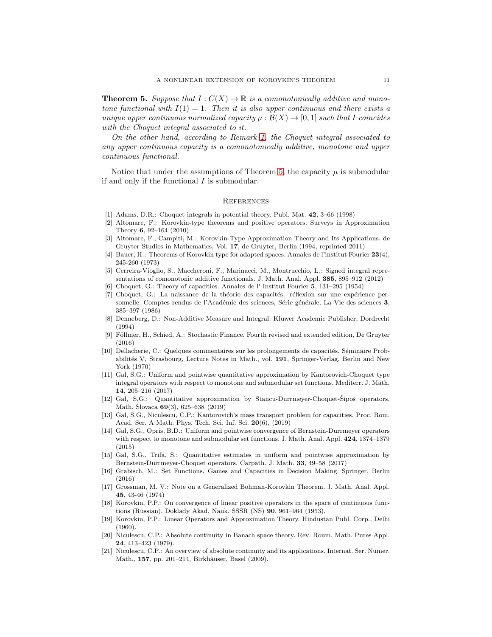<span id="page-10-19"></span>**Theorem 5.** Suppose that  $I: C(X) \to \mathbb{R}$  is a comonotonically additive and monotone functional with  $I(1) = 1$ . Then it is also upper continuous and there exists a unique upper continuous normalized capacity  $\mu : \mathcal{B}(X) \to [0, 1]$  such that I coincides with the Choquet integral associated to it.

On the other hand, according to Remark [1,](#page-9-0) the Choquet integral associated to any upper continuous capacity is a comonotonically additive, monotone and upper continuous functional.

Notice that under the assumptions of Theorem [5,](#page-10-19) the capacity  $\mu$  is submodular if and only if the functional  $I$  is submodular.

#### **REFERENCES**

- <span id="page-10-7"></span><span id="page-10-3"></span>[1] Adams, D.R.: Choquet integrals in potential theory. Publ. Mat. 42, 3–66 (1998)
- [2] Altomare, F.: Korovkin-type theorems and positive operators. Surveys in Approximation Theory 6, 92–164 (2010)
- <span id="page-10-2"></span>[3] Altomare, F., Campiti, M.: Korovkin-Type Approximation Theory and Its Applications. de Gruyter Studies in Mathematics, Vol. 17, de Gruyter, Berlin (1994, reprinted 2011)
- <span id="page-10-4"></span>[4] Bauer, H.: Theorems of Korovkin type for adapted spaces. Annales de l'institut Fourier 23(4), 245-260 (1973)
- <span id="page-10-18"></span>[5] Cerreira-Vioglio, S., Maccheroni, F., Marinacci, M., Montrucchio, L.: Signed integral representations of comonotonic additive functionals. J. Math. Anal. Appl. 385, 895–912 (2012)
- <span id="page-10-6"></span><span id="page-10-5"></span>[6] Choquet, G.: Theory of capacities. Annales de l' Institut Fourier 5, 131–295 (1954)
- [7] Choquet, G.: La naissance de la théorie des capacités: réflexion sur une expérience personnelle. Comptes rendus de l'Académie des sciences, Série générale, La Vie des sciences 3, 385–397 (1986)
- <span id="page-10-8"></span>[8] Denneberg, D.: Non-Additive Measure and Integral. Kluwer Academic Publisher, Dordrecht (1994)
- <span id="page-10-9"></span>[9] Föllmer, H., Schied, A.: Stochastic Finance. Fourth revised and extended edition, De Gruyter (2016)
- <span id="page-10-17"></span>[10] Dellacherie, C.: Quelques commentaires sur les prolongements de capacités. Séminaire Probabilités V, Strasbourg, Lecture Notes in Math., vol. 191, Springer-Verlag, Berlin and New York (1970)
- <span id="page-10-11"></span>[11] Gal, S.G.: Uniform and pointwise quantitative approximation by Kantorovich-Choquet type integral operators with respect to monotone and submodular set functions. Mediterr. J. Math. 14, 205–216 (2017)
- [12] Gal, S.G.: Quantitative approximation by Stancu-Durrmeyer-Choquet-Sipoš operators, Math. Slovaca 69(3), 625–638 (2019)
- <span id="page-10-10"></span>[13] Gal, S.G., Niculescu, C.P.: Kantorovich's mass transport problem for capacities. Proc. Rom. Acad. Ser. A Math. Phys. Tech. Sci. Inf. Sci. 20(6), (2019)
- <span id="page-10-12"></span>[14] Gal, S.G., Opris, B.D.: Uniform and pointwise convergence of Bernstein-Durrmeyer operators with respect to monotone and submodular set functions. J. Math. Anal. Appl. 424, 1374–1379 (2015)
- [15] Gal, S.G., Trifa, S.: Quantitative estimates in uniform and pointwise approximation by Bernstein-Durrmeyer-Choquet operators. Carpath. J. Math. 33, 49–58 (2017)
- <span id="page-10-16"></span>[16] Grabisch, M.: Set Functions, Games and Capacities in Decision Making. Springer, Berlin (2016)
- <span id="page-10-15"></span>[17] Grossman, M. V.: Note on a Generalized Bohman-Korovkin Theorem. J. Math. Anal. Appl. 45, 43-46 (1974)
- <span id="page-10-0"></span>[18] Korovkin, P.P.: On convergence of linear positive operators in the space of continuous functions (Russian). Doklady Akad. Nauk. SSSR (NS) 90, 961–964 (1953).
- <span id="page-10-1"></span>[19] Korovkin, P.P.: Linear Operators and Approximation Theory. Hindustan Publ. Corp., Delhi (1960).
- <span id="page-10-14"></span>[20] Niculescu, C.P.: Absolute continuity in Banach space theory. Rev. Roum. Math. Pures Appl. 24, 413–423 (1979).
- <span id="page-10-13"></span>[21] Niculescu, C.P.: An overview of absolute continuity and its applications. Internat. Ser. Numer. Math., 157, pp. 201–214, Birkhäuser, Basel (2009).